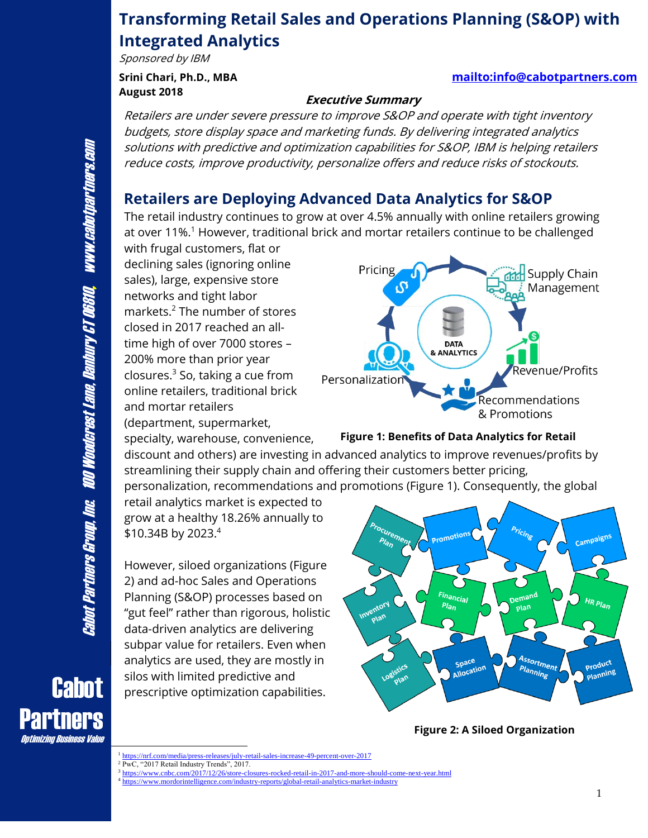# **Transforming Retail Sales and Operations Planning (S&OP) with Integrated Analytics**

Sponsored by IBM

**August 2018**

#### **Srini Chari, Ph.D., MBA <mailto:info@cabotpartners.com>**

#### **Executive Summary**

Retailers are under severe pressure to improve S&OP and operate with tight inventory budgets, store display space and marketing funds. By delivering integrated analytics solutions with predictive and optimization capabilities for S&OP, IBM is helping retailers reduce costs, improve productivity, personalize offers and reduce risks of stockouts.

### **Retailers are Deploying Advanced Data Analytics for S&OP**

The retail industry continues to grow at over 4.5% annually with online retailers growing at over 11%.<sup>1</sup> However, traditional brick and mortar retailers continue to be challenged

with frugal customers, flat or declining sales (ignoring online sales), large, expensive store networks and tight labor markets.<sup>2</sup> The number of stores closed in 2017 reached an alltime high of over 7000 stores – 200% more than prior year closures.<sup>3</sup> So, taking a cue from online retailers, traditional brick and mortar retailers (department, supermarket,

specialty, warehouse, convenience,



#### **Figure 1: Benefits of Data Analytics for Retail**

discount and others) are investing in advanced analytics to improve revenues/profits by streamlining their supply chain and offering their customers better pricing, personalization, recommendations and promotions (Figure 1). Consequently, the global

retail analytics market is expected to grow at a healthy 18.26% annually to \$10.34B by 2023.4

However, siloed organizations (Figure 2) and ad-hoc Sales and Operations Planning (S&OP) processes based on "gut feel" rather than rigorous, holistic data-driven analytics are delivering subpar value for retailers. Even when analytics are used, they are mostly in silos with limited predictive and prescriptive optimization capabilities.



**Figure 2: A Siloed Organization**

izing Business Value

**Partners** 

**Cabot** 

<sup>1</sup> <https://nrf.com/media/press-releases/july-retail-sales-increase-49-percent-over-2017>

<sup>&</sup>lt;sup>2</sup> PwC, "2017 Retail Industry Trends", 2017.

<sup>&</sup>lt;sup>3</sup> <https://www.cnbc.com/2017/12/26/store-closures-rocked-retail-in-2017-and-more-should-come-next-year.html> <sup>4</sup> <https://www.mordorintelligence.com/industry-reports/global-retail-analytics-market-industry>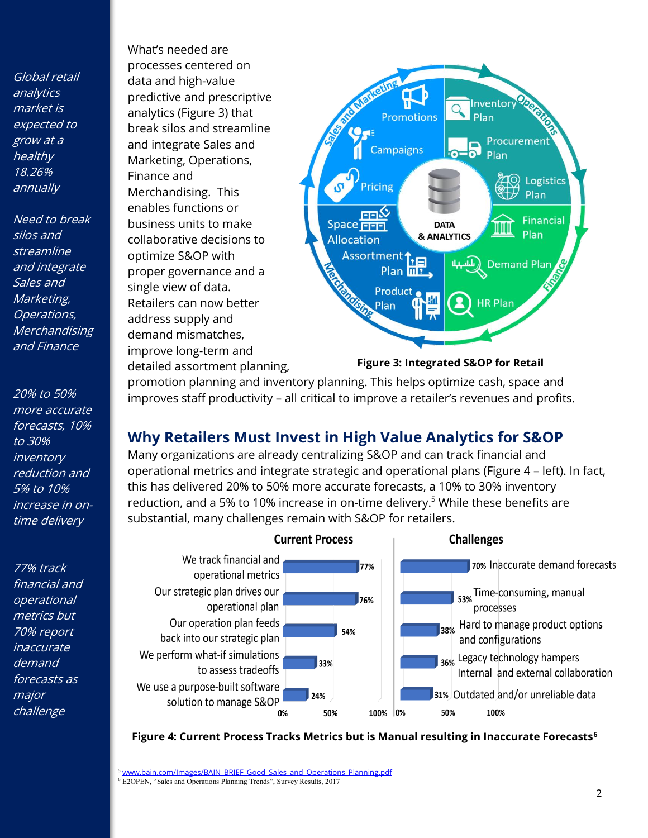Global retail analytics market is expected to grow at a healthy 18.26% annually

Need to break silos and streamline and integrate Sales and Marketing, Operations, Merchandising and Finance

20% to 50% more accurate forecasts, 10% to 30% inventory reduction and 5% to 10% increase in ontime delivery

77% track financial and operational metrics but 70% report inaccurate demand forecasts as major challenge

What's needed are processes centered on data and high-value predictive and prescriptive analytics (Figure 3) that break silos and streamline and integrate Sales and Marketing, Operations, Finance and Merchandising. This enables functions or business units to make collaborative decisions to optimize S&OP with proper governance and a single view of data. Retailers can now better address supply and demand mismatches, improve long-term and detailed assortment planning,



#### **Figure 3: Integrated S&OP for Retail**

promotion planning and inventory planning. This helps optimize cash, space and improves staff productivity – all critical to improve a retailer's revenues and profits.

### **Why Retailers Must Invest in High Value Analytics for S&OP**

Many organizations are already centralizing S&OP and can track financial and operational metrics and integrate strategic and operational plans (Figure 4 – left). In fact, this has delivered 20% to 50% more accurate forecasts, a 10% to 30% inventory reduction, and a 5% to 10% increase in on-time delivery.<sup>5</sup> While these benefits are substantial, many challenges remain with S&OP for retailers.



**Figure 4: Current Process Tracks Metrics but is Manual resulting in Inaccurate Forecasts<sup>6</sup>**

<sup>&</sup>lt;sup>5</sup> [www.bain.com/Images/BAIN\\_BRIEF\\_Good\\_Sales\\_and\\_Operations\\_Planning.pdf](http://www.bain.com/Images/BAIN_BRIEF_Good_Sales_and_Operations_Planning.pdf)

<sup>6</sup> E2OPEN, "Sales and Operations Planning Trends", Survey Results, 2017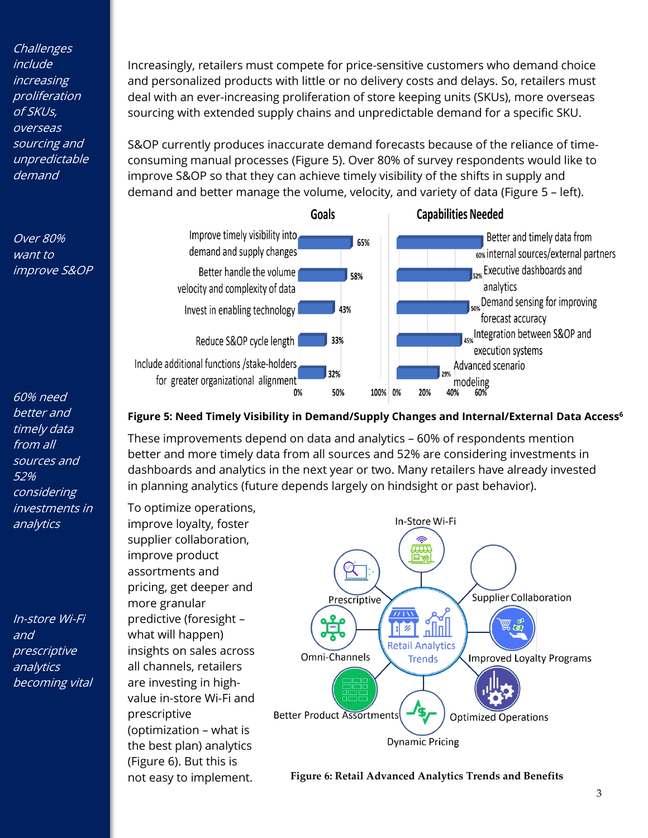**Challenges** include increasing proliferation of SKUs, overseas sourcing and unpredictable demand

Over 80% want to improve S&OP

60% need better and timely data from all sources and 52% considering investments in analytics

In-store Wi-Fi and prescriptive analytics becoming vital Increasingly, retailers must compete for price-sensitive customers who demand choice and personalized products with little or no delivery costs and delays. So, retailers must deal with an ever-increasing proliferation of store keeping units (SKUs), more overseas sourcing with extended supply chains and unpredictable demand for a specific SKU.

S&OP currently produces inaccurate demand forecasts because of the reliance of timeconsuming manual processes (Figure 5). Over 80% of survey respondents would like to improve S&OP so that they can achieve timely visibility of the shifts in supply and demand and better manage the volume, velocity, and variety of data (Figure 5 – left).



#### **Figure 5: Need Timely Visibility in Demand/Supply Changes and Internal/External Data Access<sup>6</sup>**

These improvements depend on data and analytics – 60% of respondents mention better and more timely data from all sources and 52% are considering investments in dashboards and analytics in the next year or two. Many retailers have already invested in planning analytics (future depends largely on hindsight or past behavior).

To optimize operations, improve loyalty, foster supplier collaboration, improve product assortments and pricing, get deeper and more granular predictive (foresight – what will happen) insights on sales across all channels, retailers are investing in highvalue in-store Wi-Fi and prescriptive (optimization – what is the best plan) analytics (Figure 6). But this is not easy to implement.



**Figure 6: Retail Advanced Analytics Trends and Benefits**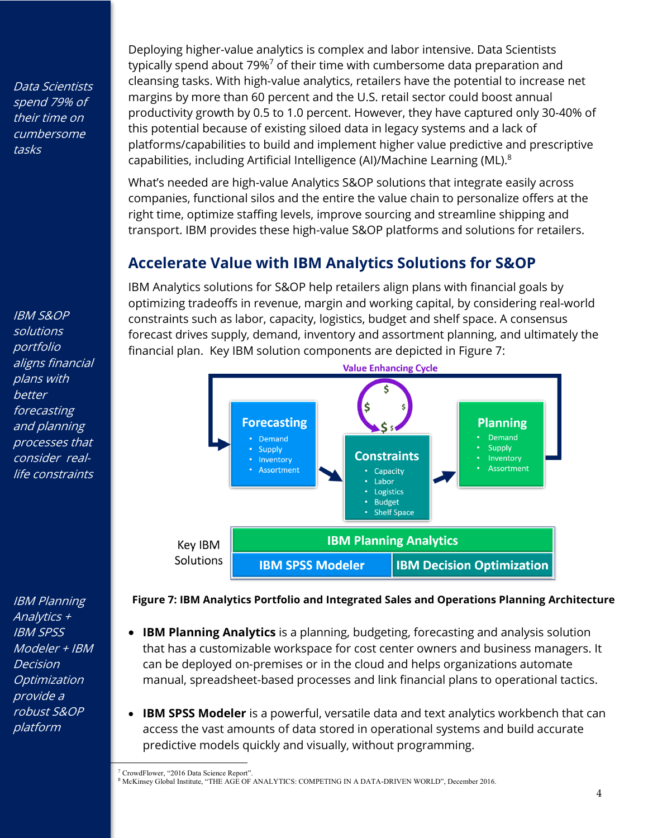Data Scientists spend 79% of their time on cumbersome tasks

IBM S&OP solutions portfolio aligns financial plans with better forecasting and planning processes that consider reallife constraints

IBM Planning Analytics + IBM SPSS Modeler + IBM Decision **Optimization** provide a robust S&OP platform

Deploying higher-value analytics is complex and labor intensive. Data Scientists typically spend about 79%<sup>7</sup> of their time with cumbersome data preparation and cleansing tasks. With high-value analytics, retailers have the potential to increase net margins by more than 60 percent and the U.S. retail sector could boost annual productivity growth by 0.5 to 1.0 percent. However, they have captured only 30-40% of this potential because of existing siloed data in legacy systems and a lack of platforms/capabilities to build and implement higher value predictive and prescriptive capabilities, including Artificial Intelligence (AI)/Machine Learning (ML).<sup>8</sup>

What's needed are high-value Analytics S&OP solutions that integrate easily across companies, functional silos and the entire the value chain to personalize offers at the right time, optimize staffing levels, improve sourcing and streamline shipping and transport. IBM provides these high-value S&OP platforms and solutions for retailers.

# **Accelerate Value with IBM Analytics Solutions for S&OP**

IBM Analytics solutions for S&OP help retailers align plans with financial goals by optimizing tradeoffs in revenue, margin and working capital, by considering real-world constraints such as labor, capacity, logistics, budget and shelf space. A consensus forecast drives supply, demand, inventory and assortment planning, and ultimately the financial plan. Key IBM solution components are depicted in Figure 7:



**Figure 7: IBM Analytics Portfolio and Integrated Sales and Operations Planning Architecture**

- **IBM Planning Analytics** is a planning, budgeting, forecasting and analysis solution that has a customizable workspace for cost center owners and business managers. It can be deployed on-premises or in the cloud and helps organizations automate manual, spreadsheet-based processes and link financial plans to operational tactics.
- **IBM SPSS Modeler** is a powerful, versatile data and text analytics workbench that can access the vast amounts of data stored in operational systems and build accurate predictive models quickly and visually, without programming.

<sup>7</sup> CrowdFlower, "2016 Data Science Report".

<sup>8</sup> McKinsey Global Institute, "THE AGE OF ANALYTICS: COMPETING IN A DATA-DRIVEN WORLD", December 2016.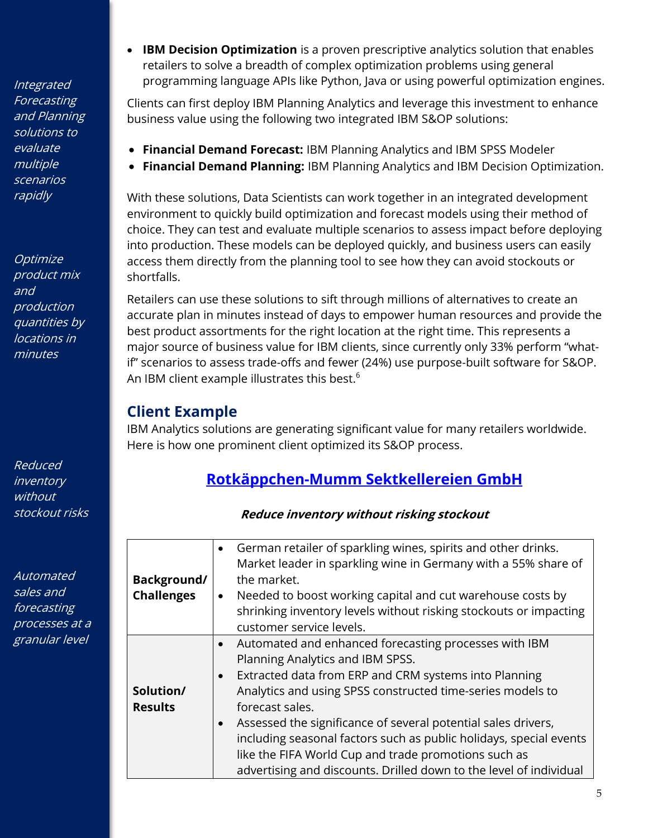**Integrated Forecasting** and Planning solutions to evaluate multiple scenarios rapidly

**Optimize** product mix and production quantities by locations in minutes

Reduced inventory without stockout risks

Automated sales and forecasting processes at a granular level

• **IBM Decision Optimization** is a proven prescriptive analytics solution that enables retailers to solve a breadth of complex optimization problems using general programming language APIs like Python, Java or using powerful optimization engines.

Clients can first deploy IBM Planning Analytics and leverage this investment to enhance business value using the following two integrated IBM S&OP solutions:

- **Financial Demand Forecast:** IBM Planning Analytics and IBM SPSS Modeler
- **Financial Demand Planning:** IBM Planning Analytics and IBM Decision Optimization.

With these solutions, Data Scientists can work together in an integrated development environment to quickly build optimization and forecast models using their method of choice. They can test and evaluate multiple scenarios to assess impact before deploying into production. These models can be deployed quickly, and business users can easily access them directly from the planning tool to see how they can avoid stockouts or shortfalls.

Retailers can use these solutions to sift through millions of alternatives to create an accurate plan in minutes instead of days to empower human resources and provide the best product assortments for the right location at the right time. This represents a major source of business value for IBM clients, since currently only 33% perform "whatif" scenarios to assess trade-offs and fewer (24%) use purpose-built software for S&OP. An IBM client example illustrates this best.<sup>6</sup>

### **Client Example**

IBM Analytics solutions are generating significant value for many retailers worldwide. Here is how one prominent client optimized its S&OP process.

## **[Rotkäppchen-Mumm Sektkellereien GmbH](https://www.ibm.com/case-studies/rotkappchen-mumm)**

**Reduce inventory without risking stockout**

| Background/<br><b>Challenges</b> | German retailer of sparkling wines, spirits and other drinks.<br>$\bullet$<br>Market leader in sparkling wine in Germany with a 55% share of<br>the market.<br>Needed to boost working capital and cut warehouse costs by<br>$\bullet$<br>shrinking inventory levels without risking stockouts or impacting<br>customer service levels.                                                                                                                                                                                            |
|----------------------------------|------------------------------------------------------------------------------------------------------------------------------------------------------------------------------------------------------------------------------------------------------------------------------------------------------------------------------------------------------------------------------------------------------------------------------------------------------------------------------------------------------------------------------------|
| Solution/<br><b>Results</b>      | Automated and enhanced forecasting processes with IBM<br>$\bullet$<br>Planning Analytics and IBM SPSS.<br>Extracted data from ERP and CRM systems into Planning<br>$\bullet$<br>Analytics and using SPSS constructed time-series models to<br>forecast sales.<br>Assessed the significance of several potential sales drivers,<br>including seasonal factors such as public holidays, special events<br>like the FIFA World Cup and trade promotions such as<br>advertising and discounts. Drilled down to the level of individual |